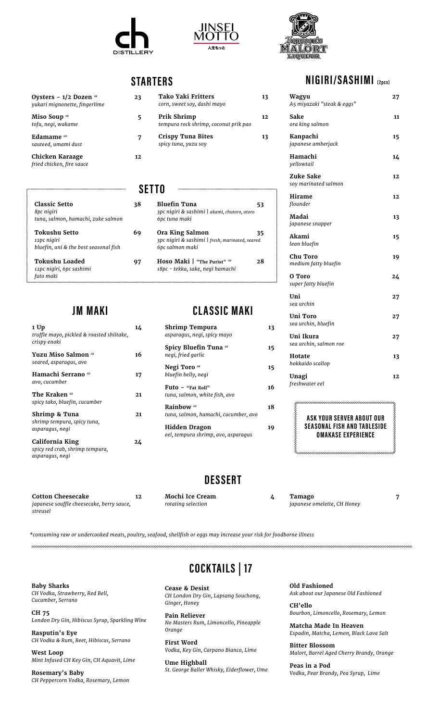



### **STARTERS**

| Ovsters - 1/2 Dozen <sup>GF</sup><br>yukari mignonette, fingerlime | 23 |
|--------------------------------------------------------------------|----|
| Miso Soup of<br>tofu, negi, wakame                                 | 5  |
| Edamame <sub>GF</sub><br>sauteed, umami dust                       | 7  |
| Chicken Karaage<br>fried chicken, fire sauce                       | 12 |

**JM MAKI**

**1 Up 14** *truffle mayo, pickled & roasted shiitake,* 

**Yuzu Miso Salmon GF 16** 

**Hamachi Serrano GF** 17

The Kraken **GF** 21

**Shrimp & Tuna 21**

**California King 24**

**Cotton Cheesecake 12** *japanese souffle cheesecake, berry sauce,* 

*crispy enoki*

*futo maki*

*avo, cucumber*

*asparagus, negi*

*asparagus, negi*

*streusel*

*seared, asparagus, avo*

*spicy tako, bluefin, cucumber*

*shrimp tempura, spicy tuna,* 

*spicy red crab, shrimp tempura,* 

| 23 | Tako Yaki Fritters<br>corn, sweet soy, dashi mayo    | 13  |
|----|------------------------------------------------------|-----|
| 5  | Prik Shrimp<br>tempura rock shrimp, coconut prik pao | 12. |
| 7  | <b>Crispy Tuna Bites</b><br>spicy tuna, yuzu soy     | 13  |
| 12 |                                                      |     |

#### **SETTO**

| <b>Classic Setto</b><br>8pc nigiri<br>tuna, salmon, hamachi, zuke salmon     | 38 | <b>Bluefin Tuna</b><br>3pc nigiri & sashimi   akami, chutoro, otoro<br>6pc tuna maki  | 53 |
|------------------------------------------------------------------------------|----|---------------------------------------------------------------------------------------|----|
| <b>Tokushu Setto</b><br>12pc nigiri<br>bluefin, uni & the best seasonal fish | 69 | Ora King Salmon<br>3pc niqiri & sashimi   fresh, marinated, seared<br>6pc salmon maki | 35 |
| <b>Tokushu Loaded</b><br>12pc nigiri, 6pc sashimi                            | 97 | Hoso Maki   "The Purist" GF<br>18pc - tekka, sake, negi hamachi                       | 28 |

#### **CLASSIC MAKI**

| Shrimp Tempura<br>asparagus, negi, spicy mayo                 | 13 |
|---------------------------------------------------------------|----|
| <b>Spicy Bluefin Tuna &amp;F</b><br>negi, fried garlic        | 15 |
| Negi Toro GF<br>bluefin belly, negi                           | 15 |
| Futo - "Fat Roll"<br>tuna, salmon, white fish, avo            | 16 |
| Rainbow <sub>GF</sub><br>tuna, salmon, hamachi, cucumber, avo | 18 |
| <b>Hidden Dragon</b><br>eel, tempura shrimp, avo, asparaqus   | 19 |

#### **NIGIRI/SASHIMI (2pcs)**

| Wagyu<br>A5 miyazaki "steak & eggs" | 27 |
|-------------------------------------|----|
| Sake<br>ora king salmon             | 11 |
| Kanpachi<br>japanese amberjack      | 15 |
| Hamachi<br>yellowtail               | 14 |
| Zuke Sake<br>soy marinated salmon   | 12 |
| Hirame<br>flounder                  | 12 |
| Madai<br>japanese snapper           | 13 |
| Akami<br>lean bluefin               | 15 |
| Chu Toro<br>medium fatty bluefin    | 19 |
| O Toro<br>super fatty bluefin       | 24 |
| Uni<br>sea urchin                   | 27 |
| Uni Toro<br>sea urchin, bluefin     | 27 |
| Uni Ikura<br>sea urchin, salmon roe | 27 |
| Hotate<br>hokkaido scallop          | 13 |
| Unagi<br>freshwater eel             | 12 |

**ASK YOUR SERVER ABOUT OUR SEASONAL FISH AND TABLESIDE OMAKASE EXPERIENCE**

#### **DESSERT**

**Mochi Ice Cream 4**

*rotating selection*

**Tamago 7** *japanese omelette, CH Honey*

*\*consuming raw or undercooked meats, poultry, seafood, shellfish or eggs may increase your risk for foodborne illness*

**Baby Sharks**  *CH Vodka, Strawberry, Red Bell, Cucumber, Serrano*

**CH 75**  *London Dry Gin, Hibiscus Syrup, Sparkling Wine*

**Rasputin's Eye**  *CH Vodka & Rum, Beet, Hibiscus, Serrano*

**West Loop**  *Mint Infused CH Key Gin, CH Aquavit, Lime*

**Rosemary's Baby**  *CH Peppercorn Vodka, Rosemary, Lemon*

## **COCK TAILS | 17**

**Cease & Desist**  *CH London Dry Gin, Lapsang Souchong, Ginger, Honey*

**Pain Reliever**  *No Masters Rum, Limoncello, Pineapple Orange*

**First Word**  *Vodka, Key Gin, Carpano Bianco, Lime*

**Ume Highball**  *St. George Baller Whisky, Elderflower, Ume* **Old Fashioned** *Ask about our Japanese Old Fashioned*

**CH'ello** *Bourbon, Limoncello, Rosemary, Lemon*

**Matcha Made In Heaven**  *Espadin, Matcha, Lemon, Black Lava Salt*

**Bitter Blossom** *Malort, Barrel Aged Cherry Brandy, Orange*

**Peas in a Pod**  *Vodka, Pear Brandy, Pea Syrup, Lime*